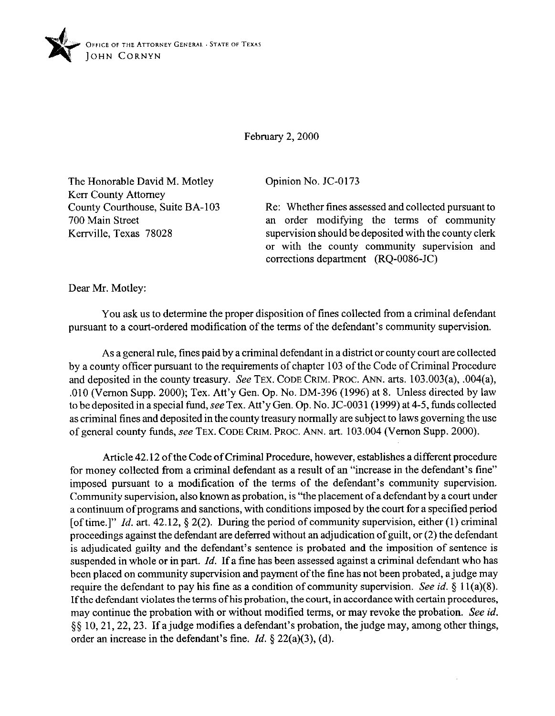

February 2, 2000

The Honorable David M. Motley Kerr County Attorney County Courthouse, Suite BA-103 700 Main Street Kerrville, Texas 78028

Opinion No. JC-0173

Re: Whether fines assessed and collected pursuant to an order modifying the terms of community supervision should be deposited with the county clerk or with the county community supervision and corrections department (RQ-0086-JC)

Dear Mr. Motley:

You ask us to determine the proper disposition of tines collected from a criminal defendant pursuant to a court-ordered modification of the terms of the defendant's community supervision.

As a general rule, fines paid by a criminal defendant in a district or county court are collected by a county officer pursuant to the requirements of chapter 103 of the Code of Criminal Procedure and deposited in the county treasury. See TEX. CODE CRIM. PROC. ANN. arts. 103.003(a), .004(a), ,010 (Vernon Supp. 2000); Tex. Att'y Gen. Op. No. DM-396 (1996) at 8. Unless directed by law to be deposited in a special fund, see Tex. Att'y Gen. Op. No. JC-003 1(1999) at 4-5, funds collected as criminal tines and deposited in the county treasury normally are subject to laws governing the use of general county funds, see TEX. CODE GRIM. PROC. ANN. art. 103.004 (Vernon Supp. 2000).

Article 42.12 of the Code of Criminal Procedure, however, establishes a different procedure for money collected from a criminal defendant as a result of an "increase in the defendant's tine" imposed pursuant to a modification of the terms of the defendant's community supervision. Community supervision, also known as probation, is "the placement of a defendant by a court under a continuum of programs and sanctions, with conditions imposed by the court for a specified period [of time.]" *Id.* art. 42.12, \$ 2(2). During the period of community supervision, either (1) criminal proceedings against the defendant are deferred without an adjudication of guilt, or (2) the defendant is adjudicated guilty and the defendant's sentence is probated and the imposition of sentence is suspended in whole or in part. *Id*. If a fine has been assessed against a criminal defendant who has been placed on community supervision and payment of the fine has not been probated, a judge may require the defendant to pay his fine as a condition of community supervision. See *id. \$* 1 l(a)(S). If the defendant violates the terms of his probation, the court, in accordance with certain procedures, may continue the probation with or without modified terms, or may revoke the probation. See *id.*  \$5 10,21,22,23. If ajudge modifies a defendant's probation, the judge may, among other things, order an increase in the defendant's fine. *Id. 3* 22(a)(3), (d).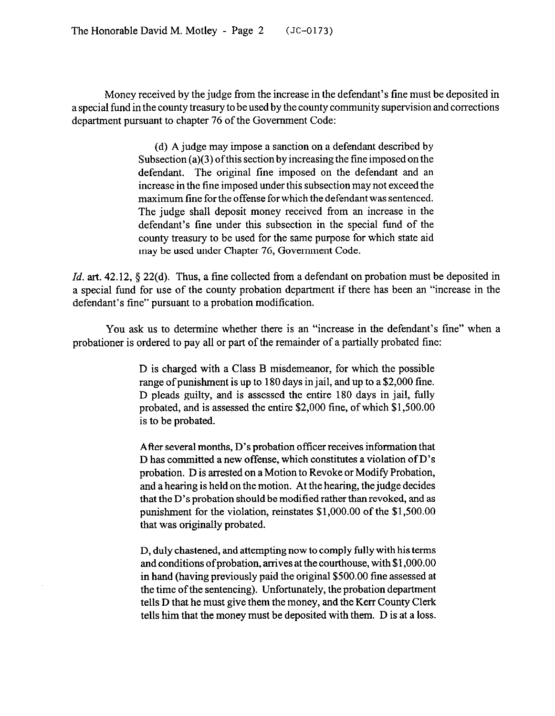Money received by the judge from the increase in the defendant's fine must be deposited in a special fund in the county treasury to be used by the county community supervision and corrections department pursuant to chapter 76 of the Government Code:

> (d) A judge may impose a sanction on a defendant described by Subsection (a)(3) of this section by increasing the fine imposed on the defendant. The original fine imposed on the defendant and an increase in the tine imposed under this subsection may not exceed the maximum tine for the offense for which the defendant was sentenced. The judge shall deposit money received from an increase in the defendant's fine under this subsection in the special fund of the county treasury to be used for the same purpose for which state aid may be used under Chapter 76, Government Code.

*Id.* art. 42.12, § 22(d). Thus, a fine collected from a defendant on probation must be deposited in a special fund for use of the county probation department if there has been an "increase in the defendant's fine" pursuant to a probation modification.

You ask us to determine whether there is an "increase in the defendant's fine" when a probationer is ordered to pay all or part of the remainder of a partially probated tine:

> D is charged with a Class B misdemeanor, for which the possible range of punishment is up to 180 days in jail, and up to a \$2,000 fine. D pleads guilty, and is assessed the entire 180 days in jail, fully probated, and is assessed the entire \$2,000 fine, of which \$1,500.00 is to be probated.

> After several months, D's probation officer receives information that D has committed a new offense, which constitutes a violation of D's probation. D is arrested on a Motion to Revoke or Modify Probation, and a hearing is held on the motion. At the hearing, the judge decides that the D's probation should be modified rather than revoked, and as punishment for the violation, reinstates \$l,OOO.OO of the \$l,SOO.OO that was originally probated.

> D, duly chastened, and attempting now to comply fully with his terms and conditions ofprobation, arrives at the courthouse, with \$1 ,OOO.OO in hand (having previously paid the original \$500.00 tine assessed at the time of the sentencing). Unfortunately, the probation department tells D that he must give them the money, and the Kerr County Clerk tells him that the money must be deposited with them. D is at a loss.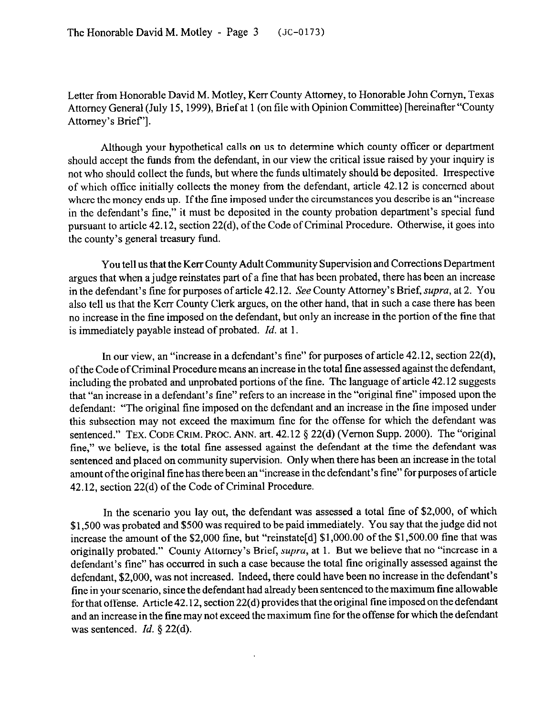Letter from Honorable David M. Motley, Kerr County Attorney, to Honorable John Comyn, Texas Attorney General (July 15,1999), Brief at 1 (on tile with Opinion Committee) [hereinafter "County Attorney's Brief'].

Although your hypothetical calls on us to determine which county officer or department should accept the funds from the defendant, in our view the critical issue raised by your inquiry is not who should collect the funds, but where the funds ultimately should be deposited. Irrespective of which office initially collects the money from the defendant, article 42.12 is concerned about where the money ends up. If the fine imposed under the circumstances you describe is an "increase in the defendant's tine," it must be deposited in the county probation department's special fund pursuant to article 42.12, section 22(d), of the Code of Criminal Procedure. Otherwise, it goes into the county's general treasury fund.

You tell us that the Kerr County Adult Community Supervision and Corrections Department argues that when a judge reinstates part of a fine that has been probated, there has been an increase in the defendant's fine for purposes of article 42.12. See County Attorney's Brief, supra, at 2. You also tell us that the Kerr County Clerk argues, on the other hand, that in such a case there has been no increase in the tine imposed on the defendant, but only an increase in the portion of the fine that is immediately payable instead of probated. *Id.* at 1.

In our view, an "increase in a defendant's fine" for purposes of article 42.12, section 22(d), of the Code of Criminal Procedure means an increase in the total tine assessed against the defendant, including the probated and unprobated portions of the fine. The language of article 42.12 suggests that "an increase in a defendant's fine" refers to an increase in the "original fine" imposed upon the defendant: "The original fine imposed on the defendant and an increase in the fine imposed under this subsection may not exceed the maximum tine for the offense for which the defendant was sentenced." TEX. CODE CRIM. PROC. ANN. art. 42.12 § 22(d) (Vernon Supp. 2000). The "original fine," we believe, is the total fine assessed against the defendant at the time the defendant was sentenced and placed on community supervision. Only when there has been an increase in the total amount ofthe original tine has there been an "increase in the defendant's fine" for purposes of article 42.12, section 22(d) of the Code of Criminal Procedure.

In the scenario you lay out, the defendant was assessed a total fine of \$2,000, of which \$1,500 was probated and \$500 was required to be paid immediately. You say that the judge did not increase the amount of the \$2,000 fine, but "reinstate[d] \$1,000.00 of the \$1,500.00 fine that was originally probated." County Attorney's Brief, *supra*, at 1. But we believe that no "increase in a defendant's tine" has occurred in such a case because the total fine originally assessed against the defendant, \$2,000, was not increased. Indeed, there could have been no increase in the defendant's tine in your scenario, since the defendant had already been sentenced to the maximum tine allowable for that offense. Article 42.12, section 22(d) provides that the original fine imposed on the defendant and an increase in the fine may not exceed the maximum fine for the offense for which the defendant was sentenced. *Id. 5* 22(d).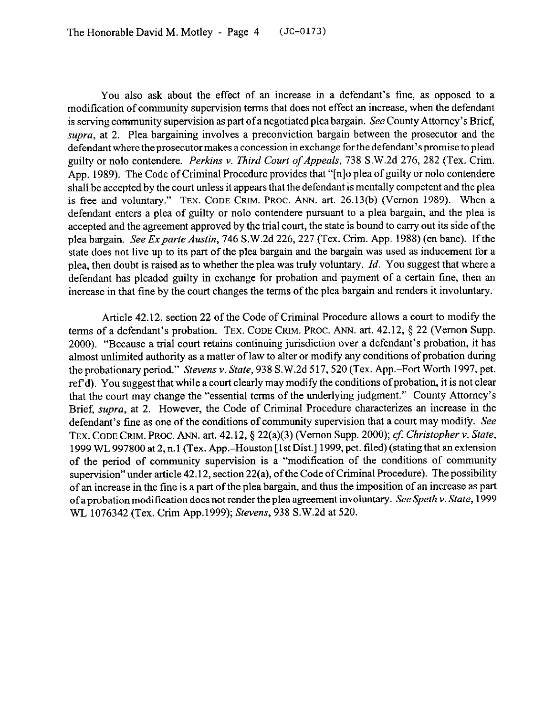You also ask about the effect of an increase in a defendant's fine, as opposed to a modification of community supervision terms that does not effect an increase, when the defendant is serving community supervision as part of a negotiated plea bargain. See County Attorney's Brief, supra, at 2. Plea bargaining involves a preconviction bargain between the prosecutor and the defendant where the prosecutor makes a concession in exchange for the defendant's promise to plead guilty or nolo contendere. *Perkins v. Third Court of Appeals, 738* S.W.2d 276, 282 (Tex. Crim. App. 1989). The Code of Criminal Procedure provides that "[n]o plea of guilty or nolo contendere shall be accepted by the court unless it appears that the defendant is mentally competent and the plea is free and voluntary." **TEX. CODE GRIM. PROC.** ANN. art. 26.13(b) (Vernon 1989). When a defendant enters a plea of guilty or nolo contendere pursuant to a plea bargain, and the plea is accepted and the agreement approved by the trial court, the state is bound to carry out its side of the plea bargain. See *Expavte Austin,* 746 S.W.2d 226, 227 (Tex. Crim. App. 1988) (en bane). If the state does not live up to its part of the plea bargain and the bargain was used as inducement for a plea, then doubt is raised as to whether the plea was truly voluntary. *Id.* You suggest that where a defendant has pleaded guilty in exchange for probation and payment of a certain fine, then an increase in that fine by the court changes the terms of the plea bargain and renders it involuntary.

Article 42.12, section 22 of the Code of Criminal Procedure allows a court to modify the terms of a defendant's probation. TEX. CODE CRIM. PROC. ANN. art. 42.12, § 22 (Vernon Supp. 2000). "Because a trial court retains continuing jurisdiction over a defendant's probation, it has almost unlimited authority as a matter of law to alter or modify any conditions of probation during the probationary period." *Stevens* v. *State,* 938 S.W.2d 517,520 (Tex. App.-Fort Worth 1997, pet. ref d). You suggest that while a court clearly may modify the conditions of probation, it is not clear that the court may change the "essential terms of the underlying judgment." County Attorney's Brief, supra, at 2. However, the Code of Criminal Procedure characterizes an increase in the defendant's fine as one of the conditions of community supervision that a court may modify. See **TEX. CODE GRIM. PROC.** ANN. art. 42.12, \$22(a)(3) (Vernon Supp. 2000); *cf: Christopher v. State,*  1999 WL 997800 at 2, n. 1 (Tex. App.-Houston [ 1st Dist.] 1999, pet. filed) (stating that an extension of the period of community supervision is a "modification of the conditions of community supervision" under article 42.12, section 22(a), of the Code of Criminal Procedure). The possibility of an increase in the tine is a part of the plea bargain, and thus the imposition of an increase as part of a probation modification does not render the plea agreement involuntary. See *Speth v. State,* 1999 WL 1076342 (Tex. Crim App.1999); *Stevens, 938* S.W.2d at 520.